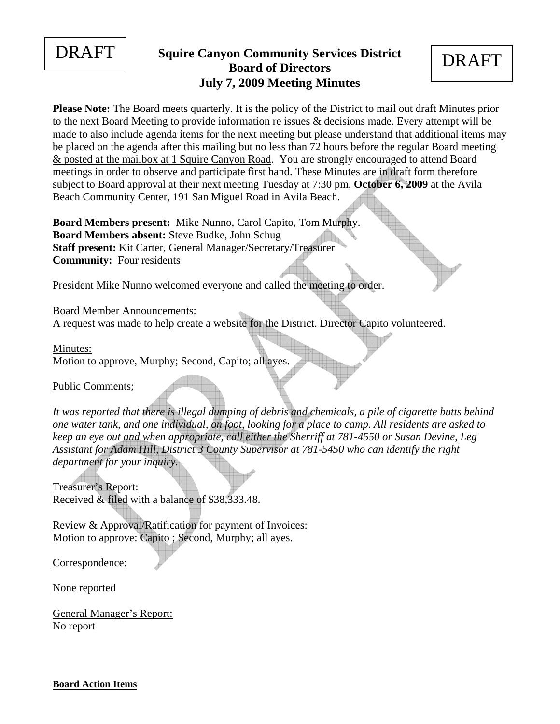

## **DRAFT** Squire Canyon Community Services District **DRAFT Board of Directors July 7, 2009 Meeting Minutes**

**Please Note:** The Board meets quarterly. It is the policy of the District to mail out draft Minutes prior to the next Board Meeting to provide information re issues & decisions made. Every attempt will be made to also include agenda items for the next meeting but please understand that additional items may be placed on the agenda after this mailing but no less than 72 hours before the regular Board meeting & posted at the mailbox at 1 Squire Canyon Road. You are strongly encouraged to attend Board meetings in order to observe and participate first hand. These Minutes are in draft form therefore subject to Board approval at their next meeting Tuesday at 7:30 pm, **October 6, 2009** at the Avila Beach Community Center, 191 San Miguel Road in Avila Beach.

**Board Members present:** Mike Nunno, Carol Capito, Tom Murphy. **Board Members absent:** Steve Budke, John Schug **Staff present:** Kit Carter, General Manager/Secretary/Treasurer **Community:** Four residents

President Mike Nunno welcomed everyone and called the meeting to order.

Board Member Announcements:

A request was made to help create a website for the District. Director Capito volunteered.

Minutes:

Motion to approve, Murphy; Second, Capito; all ayes.

Public Comments;

*It was reported that there is illegal dumping of debris and chemicals, a pile of cigarette butts behind one water tank, and one individual, on foot, looking for a place to camp. All residents are asked to keep an eye out and when appropriate, call either the Sherriff at 781-4550 or Susan Devine, Leg Assistant for Adam Hill, District 3 County Supervisor at 781-5450 who can identify the right department for your inquiry.* 

Treasurer's Report: Received & filed with a balance of \$38,333.48.

Review & Approval/Ratification for payment of Invoices: Motion to approve: Capito ; Second, Murphy; all ayes.

Correspondence:

None reported

General Manager's Report: No report

**Board Action Items**